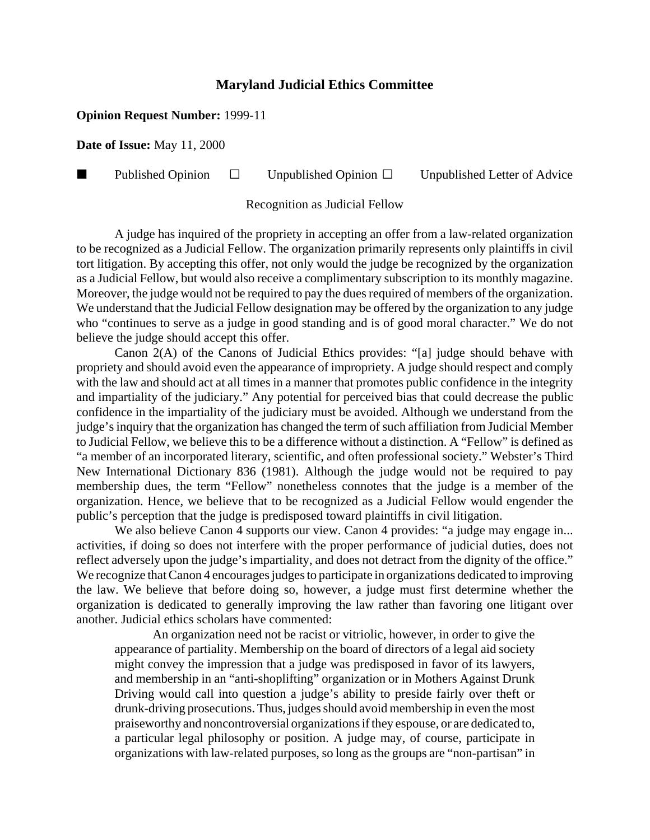## **Maryland Judicial Ethics Committee**

## **Opinion Request Number:** 1999-11

**Date of Issue:** May 11, 2000

**Published Opinion**  $\Box$  Unpublished Opinion  $\Box$  Unpublished Letter of Advice

Recognition as Judicial Fellow

A judge has inquired of the propriety in accepting an offer from a law-related organization to be recognized as a Judicial Fellow. The organization primarily represents only plaintiffs in civil tort litigation. By accepting this offer, not only would the judge be recognized by the organization as a Judicial Fellow, but would also receive a complimentary subscription to its monthly magazine. Moreover, the judge would not be required to pay the dues required of members of the organization. We understand that the Judicial Fellow designation may be offered by the organization to any judge who "continues to serve as a judge in good standing and is of good moral character." We do not believe the judge should accept this offer.

Canon 2(A) of the Canons of Judicial Ethics provides: "[a] judge should behave with propriety and should avoid even the appearance of impropriety. A judge should respect and comply with the law and should act at all times in a manner that promotes public confidence in the integrity and impartiality of the judiciary." Any potential for perceived bias that could decrease the public confidence in the impartiality of the judiciary must be avoided. Although we understand from the judge's inquiry that the organization has changed the term of such affiliation from Judicial Member to Judicial Fellow, we believe this to be a difference without a distinction. A "Fellow" is defined as "a member of an incorporated literary, scientific, and often professional society." Webster's Third New International Dictionary 836 (1981). Although the judge would not be required to pay membership dues, the term "Fellow" nonetheless connotes that the judge is a member of the organization. Hence, we believe that to be recognized as a Judicial Fellow would engender the public's perception that the judge is predisposed toward plaintiffs in civil litigation.

We also believe Canon 4 supports our view. Canon 4 provides: "a judge may engage in... activities, if doing so does not interfere with the proper performance of judicial duties, does not reflect adversely upon the judge's impartiality, and does not detract from the dignity of the office." We recognize that Canon 4 encourages judges to participate in organizations dedicated to improving the law. We believe that before doing so, however, a judge must first determine whether the organization is dedicated to generally improving the law rather than favoring one litigant over another. Judicial ethics scholars have commented:

An organization need not be racist or vitriolic, however, in order to give the appearance of partiality. Membership on the board of directors of a legal aid society might convey the impression that a judge was predisposed in favor of its lawyers, and membership in an "anti-shoplifting" organization or in Mothers Against Drunk Driving would call into question a judge's ability to preside fairly over theft or drunk-driving prosecutions. Thus, judges should avoid membership in even the most praiseworthy and noncontroversial organizations if they espouse, or are dedicated to, a particular legal philosophy or position. A judge may, of course, participate in organizations with law-related purposes, so long as the groups are "non-partisan" in